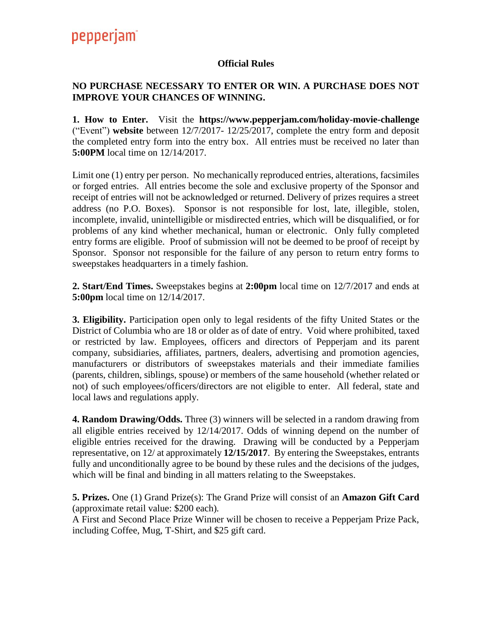## pepperjam<sup>®</sup>

## **Official Rules**

## **NO PURCHASE NECESSARY TO ENTER OR WIN. A PURCHASE DOES NOT IMPROVE YOUR CHANCES OF WINNING.**

**1. How to Enter.** Visit the **https://www.pepperjam.com/holiday-movie-challenge**  ("Event") **website** between 12/7/2017- 12/25/2017, complete the entry form and deposit the completed entry form into the entry box. All entries must be received no later than **5:00PM** local time on 12/14/2017.

Limit one (1) entry per person. No mechanically reproduced entries, alterations, facsimiles or forged entries. All entries become the sole and exclusive property of the Sponsor and receipt of entries will not be acknowledged or returned. Delivery of prizes requires a street address (no P.O. Boxes). Sponsor is not responsible for lost, late, illegible, stolen, incomplete, invalid, unintelligible or misdirected entries, which will be disqualified, or for problems of any kind whether mechanical, human or electronic. Only fully completed entry forms are eligible. Proof of submission will not be deemed to be proof of receipt by Sponsor. Sponsor not responsible for the failure of any person to return entry forms to sweepstakes headquarters in a timely fashion.

**2. Start/End Times.** Sweepstakes begins at **2:00pm** local time on 12/7/2017 and ends at **5:00pm** local time on 12/14/2017.

**3. Eligibility.** Participation open only to legal residents of the fifty United States or the District of Columbia who are 18 or older as of date of entry. Void where prohibited, taxed or restricted by law. Employees, officers and directors of Pepperjam and its parent company, subsidiaries, affiliates, partners, dealers, advertising and promotion agencies, manufacturers or distributors of sweepstakes materials and their immediate families (parents, children, siblings, spouse) or members of the same household (whether related or not) of such employees/officers/directors are not eligible to enter. All federal, state and local laws and regulations apply.

**4. Random Drawing/Odds.** Three (3) winners will be selected in a random drawing from all eligible entries received by 12/14/2017. Odds of winning depend on the number of eligible entries received for the drawing. Drawing will be conducted by a Pepperjam representative, on 12/ at approximately **12/15/2017**. By entering the Sweepstakes, entrants fully and unconditionally agree to be bound by these rules and the decisions of the judges, which will be final and binding in all matters relating to the Sweepstakes.

**5. Prizes.** One (1) Grand Prize(s): The Grand Prize will consist of an **Amazon Gift Card**  (approximate retail value: \$200 each)*.* 

A First and Second Place Prize Winner will be chosen to receive a Pepperjam Prize Pack, including Coffee, Mug, T-Shirt, and \$25 gift card.